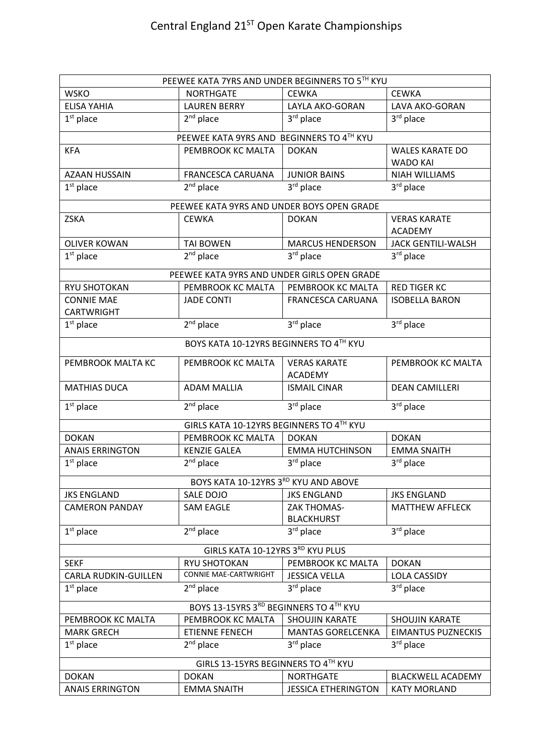| PEEWEE KATA 7YRS AND UNDER BEGINNERS TO 5TH KYU |                                             |                                         |                                           |  |
|-------------------------------------------------|---------------------------------------------|-----------------------------------------|-------------------------------------------|--|
| <b>WSKO</b>                                     | <b>NORTHGATE</b>                            | <b>CEWKA</b>                            | <b>CEWKA</b>                              |  |
| <b>ELISA YAHIA</b>                              | <b>LAUREN BERRY</b>                         | LAYLA AKO-GORAN                         | LAVA AKO-GORAN                            |  |
| $1st$ place                                     | $2nd$ place                                 | 3rd place                               | 3rd place                                 |  |
| PEEWEE KATA 9YRS AND BEGINNERS TO 4TH KYU       |                                             |                                         |                                           |  |
| <b>KFA</b>                                      | PEMBROOK KC MALTA                           | <b>DOKAN</b>                            | <b>WALES KARATE DO</b><br><b>WADO KAI</b> |  |
| <b>AZAAN HUSSAIN</b>                            | <b>FRANCESCA CARUANA</b>                    | <b>JUNIOR BAINS</b>                     | <b>NIAH WILLIAMS</b>                      |  |
| $1st$ place                                     | $2nd$ place                                 | 3 <sup>rd</sup> place                   | 3rd place                                 |  |
|                                                 | PEEWEE KATA 9YRS AND UNDER BOYS OPEN GRADE  |                                         |                                           |  |
| <b>ZSKA</b>                                     | <b>CEWKA</b>                                | <b>DOKAN</b>                            | <b>VERAS KARATE</b><br><b>ACADEMY</b>     |  |
| <b>OLIVER KOWAN</b>                             | <b>TAI BOWEN</b>                            | <b>MARCUS HENDERSON</b>                 | <b>JACK GENTILI-WALSH</b>                 |  |
| $1st$ place                                     | $2^{nd}$ place                              | 3rd place                               | 3rd place                                 |  |
|                                                 |                                             |                                         |                                           |  |
|                                                 | PEEWEE KATA 9YRS AND UNDER GIRLS OPEN GRADE |                                         |                                           |  |
| <b>RYU SHOTOKAN</b>                             | PEMBROOK KC MALTA                           | PEMBROOK KC MALTA                       | <b>RED TIGER KC</b>                       |  |
| <b>CONNIE MAE</b><br><b>CARTWRIGHT</b>          | <b>JADE CONTI</b>                           | <b>FRANCESCA CARUANA</b>                | <b>ISOBELLA BARON</b>                     |  |
| $1st$ place                                     | $2nd$ place                                 | 3rd place                               | 3rd place                                 |  |
|                                                 |                                             |                                         |                                           |  |
|                                                 | BOYS KATA 10-12YRS BEGINNERS TO 4TH KYU     |                                         |                                           |  |
| PEMBROOK MALTA KC                               | PEMBROOK KC MALTA                           | <b>VERAS KARATE</b><br><b>ACADEMY</b>   | PEMBROOK KC MALTA                         |  |
| <b>MATHIAS DUCA</b>                             | <b>ADAM MALLIA</b>                          | <b>ISMAIL CINAR</b>                     | <b>DEAN CAMILLERI</b>                     |  |
| $1st$ place                                     | $2nd$ place                                 | 3rd place                               | 3rd place                                 |  |
|                                                 | GIRLS KATA 10-12YRS BEGINNERS TO 4TH KYU    |                                         |                                           |  |
| <b>DOKAN</b>                                    | PEMBROOK KC MALTA                           | <b>DOKAN</b>                            | <b>DOKAN</b>                              |  |
| <b>ANAIS ERRINGTON</b>                          | <b>KENZIE GALEA</b>                         | <b>EMMA HUTCHINSON</b>                  | <b>EMMA SNAITH</b>                        |  |
| $1st$ place                                     | $2nd$ place                                 | 3rd place                               | 3rd place                                 |  |
|                                                 | BOYS KATA 10-12YRS 3RD KYU AND ABOVE        |                                         |                                           |  |
| <b>JKS ENGLAND</b>                              | SALE DOJO                                   | <b>JKS ENGLAND</b>                      | <b>JKS ENGLAND</b>                        |  |
| <b>CAMERON PANDAY</b>                           | <b>SAM EAGLE</b>                            | <b>ZAK THOMAS-</b><br><b>BLACKHURST</b> | <b>MATTHEW AFFLECK</b>                    |  |
| $1st$ place                                     | $2nd$ place                                 | 3 <sup>rd</sup> place                   | 3rd place                                 |  |
| GIRLS KATA 10-12YRS 3RD KYU PLUS                |                                             |                                         |                                           |  |
| <b>SEKF</b>                                     | <b>RYU SHOTOKAN</b>                         | PEMBROOK KC MALTA                       | <b>DOKAN</b>                              |  |
| <b>CARLA RUDKIN-GUILLEN</b>                     | CONNIE MAE-CARTWRIGHT                       | <b>JESSICA VELLA</b>                    | <b>LOLA CASSIDY</b>                       |  |
| $1st$ place                                     | $2nd$ place                                 | 3rd place                               | $3rd$ place                               |  |
| BOYS 13-15YRS 3RD BEGINNERS TO 4TH KYU          |                                             |                                         |                                           |  |
| PEMBROOK KC MALTA                               | PEMBROOK KC MALTA                           | <b>SHOUJIN KARATE</b>                   | SHOUJIN KARATE                            |  |
| <b>MARK GRECH</b>                               | <b>ETIENNE FENECH</b>                       | <b>MANTAS GORELCENKA</b>                | <b>EIMANTUS PUZNECKIS</b>                 |  |
| $1st$ place                                     | $2nd$ place                                 | 3 <sup>rd</sup> place                   | 3rd place                                 |  |
| GIRLS 13-15YRS BEGINNERS TO 4TH KYU             |                                             |                                         |                                           |  |
| <b>DOKAN</b>                                    | <b>DOKAN</b>                                | <b>NORTHGATE</b>                        | <b>BLACKWELL ACADEMY</b>                  |  |
| <b>ANAIS ERRINGTON</b>                          | <b>EMMA SNAITH</b>                          | <b>JESSICA ETHERINGTON</b>              | <b>KATY MORLAND</b>                       |  |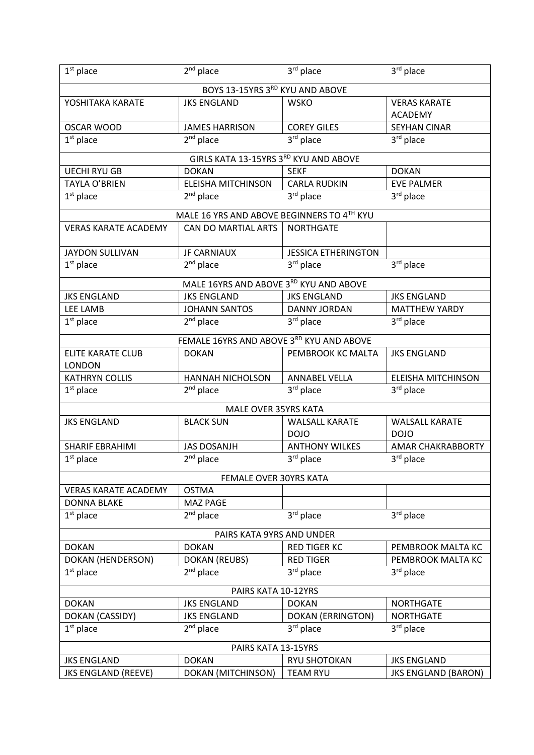| $1st$ place                           | $2nd$ place                                | 3rd place                  | 3rd place                 |  |  |
|---------------------------------------|--------------------------------------------|----------------------------|---------------------------|--|--|
|                                       | BOYS 13-15YRS 3RD KYU AND ABOVE            |                            |                           |  |  |
| YOSHITAKA KARATE                      | <b>JKS ENGLAND</b>                         | <b>WSKO</b>                | <b>VERAS KARATE</b>       |  |  |
|                                       |                                            |                            | <b>ACADEMY</b>            |  |  |
| <b>OSCAR WOOD</b>                     | <b>JAMES HARRISON</b>                      | <b>COREY GILES</b>         | <b>SEYHAN CINAR</b>       |  |  |
| $1st$ place                           | $2nd$ place                                | 3rd place                  | 3 <sup>rd</sup> place     |  |  |
| GIRLS KATA 13-15YRS 3RD KYU AND ABOVE |                                            |                            |                           |  |  |
| <b>UECHI RYU GB</b>                   | <b>DOKAN</b>                               | <b>SEKF</b>                | <b>DOKAN</b>              |  |  |
| <b>TAYLA O'BRIEN</b>                  | <b>ELEISHA MITCHINSON</b>                  | <b>CARLA RUDKIN</b>        | <b>EVE PALMER</b>         |  |  |
| $1st$ place                           | $2nd$ place                                | 3 <sup>rd</sup> place      | $3rd$ place               |  |  |
|                                       | MALE 16 YRS AND ABOVE BEGINNERS TO 4TH KYU |                            |                           |  |  |
| <b>VERAS KARATE ACADEMY</b>           | CAN DO MARTIAL ARTS                        | <b>NORTHGATE</b>           |                           |  |  |
|                                       |                                            |                            |                           |  |  |
| <b>JAYDON SULLIVAN</b>                | <b>JF CARNIAUX</b>                         | <b>JESSICA ETHERINGTON</b> |                           |  |  |
| $1st$ place                           | $2nd$ place                                | 3rd place                  | 3rd place                 |  |  |
|                                       | MALE 16YRS AND ABOVE 3RD KYU AND ABOVE     |                            |                           |  |  |
| <b>JKS ENGLAND</b>                    | <b>JKS ENGLAND</b>                         | <b>JKS ENGLAND</b>         | <b>JKS ENGLAND</b>        |  |  |
| LEE LAMB                              | <b>JOHANN SANTOS</b>                       | DANNY JORDAN               | <b>MATTHEW YARDY</b>      |  |  |
| $1st$ place                           | $2nd$ place                                | 3rd place                  | 3rd place                 |  |  |
|                                       | FEMALE 16YRS AND ABOVE 3RD KYU AND ABOVE   |                            |                           |  |  |
| <b>ELITE KARATE CLUB</b>              | <b>DOKAN</b>                               | PEMBROOK KC MALTA          | <b>JKS ENGLAND</b>        |  |  |
| <b>LONDON</b>                         |                                            |                            |                           |  |  |
| <b>KATHRYN COLLIS</b>                 | <b>HANNAH NICHOLSON</b>                    | <b>ANNABEL VELLA</b>       | <b>ELEISHA MITCHINSON</b> |  |  |
| $1st$ place                           | $2nd$ place                                | 3 <sup>rd</sup> place      | 3 <sup>rd</sup> place     |  |  |
|                                       | MALE OVER 35YRS KATA                       |                            |                           |  |  |
| <b>JKS ENGLAND</b>                    | <b>BLACK SUN</b>                           | <b>WALSALL KARATE</b>      | <b>WALSALL KARATE</b>     |  |  |
|                                       |                                            | <b>DOJO</b>                | <b>DOJO</b>               |  |  |
| <b>SHARIF EBRAHIMI</b>                | <b>JAS DOSANJH</b>                         | <b>ANTHONY WILKES</b>      | AMAR CHAKRABBORTY         |  |  |
| $1st$ place                           | $2nd$ place                                | 3rd place                  | 3rd place                 |  |  |
|                                       | FEMALE OVER 30YRS KATA                     |                            |                           |  |  |
| <b>VERAS KARATE ACADEMY</b>           | <b>OSTMA</b>                               |                            |                           |  |  |
| <b>DONNA BLAKE</b>                    | MAZ PAGE                                   |                            |                           |  |  |
| $1st$ place                           | $2nd$ place                                | 3rd place                  | 3rd place                 |  |  |
| PAIRS KATA 9YRS AND UNDER             |                                            |                            |                           |  |  |
|                                       |                                            |                            |                           |  |  |
|                                       |                                            |                            |                           |  |  |
| <b>DOKAN</b>                          | <b>DOKAN</b>                               | <b>RED TIGER KC</b>        | PEMBROOK MALTA KC         |  |  |
| DOKAN (HENDERSON)                     | <b>DOKAN (REUBS)</b>                       | <b>RED TIGER</b>           | PEMBROOK MALTA KC         |  |  |
| $1st$ place                           | $2nd$ place                                | 3rd place                  | 3rd place                 |  |  |
|                                       | PAIRS KATA 10-12YRS                        |                            |                           |  |  |
| <b>DOKAN</b>                          | <b>JKS ENGLAND</b>                         | <b>DOKAN</b>               | <b>NORTHGATE</b>          |  |  |
| DOKAN (CASSIDY)                       | <b>JKS ENGLAND</b>                         | <b>DOKAN (ERRINGTON)</b>   | <b>NORTHGATE</b>          |  |  |
| $1st$ place                           | $2nd$ place                                | 3rd place                  | 3rd place                 |  |  |
|                                       | PAIRS KATA 13-15YRS                        |                            |                           |  |  |
| <b>JKS ENGLAND</b>                    | <b>DOKAN</b>                               | RYU SHOTOKAN               | <b>JKS ENGLAND</b>        |  |  |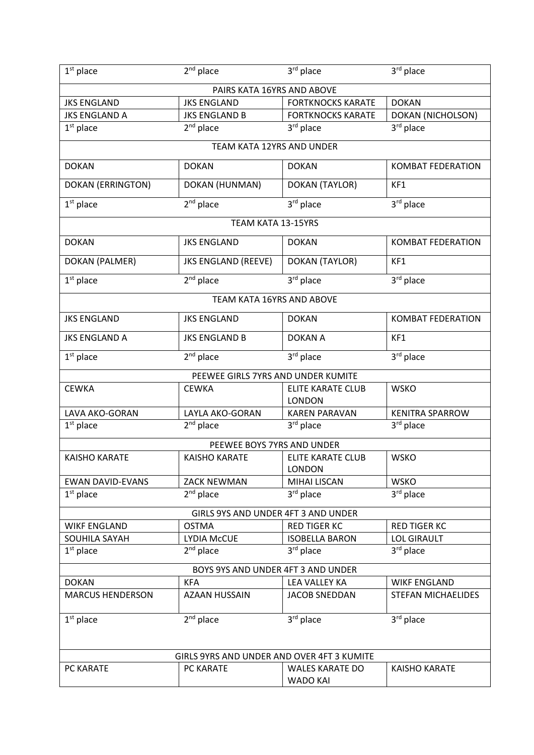| $1st$ place                        | $2nd$ place                                | 3rd place                                 | 3rd place                 |  |  |
|------------------------------------|--------------------------------------------|-------------------------------------------|---------------------------|--|--|
|                                    | PAIRS KATA 16YRS AND ABOVE                 |                                           |                           |  |  |
| <b>JKS ENGLAND</b>                 | <b>JKS ENGLAND</b>                         | <b>FORTKNOCKS KARATE</b>                  | <b>DOKAN</b>              |  |  |
| <b>JKS ENGLAND A</b>               | <b>JKS ENGLAND B</b>                       | <b>FORTKNOCKS KARATE</b>                  | <b>DOKAN (NICHOLSON)</b>  |  |  |
| $1st$ place                        | 2 <sup>nd</sup> place                      | 3rd place                                 | 3rd place                 |  |  |
| TEAM KATA 12YRS AND UNDER          |                                            |                                           |                           |  |  |
| <b>DOKAN</b>                       | <b>DOKAN</b>                               | <b>DOKAN</b>                              | <b>KOMBAT FEDERATION</b>  |  |  |
| <b>DOKAN (ERRINGTON)</b>           | DOKAN (HUNMAN)                             | DOKAN (TAYLOR)                            | KF1                       |  |  |
| $1st$ place                        | $2nd$ place                                | 3rd place                                 | 3rd place                 |  |  |
|                                    | TEAM KATA 13-15YRS                         |                                           |                           |  |  |
| <b>DOKAN</b>                       | <b>JKS ENGLAND</b>                         | <b>DOKAN</b>                              | <b>KOMBAT FEDERATION</b>  |  |  |
| DOKAN (PALMER)                     | <b>JKS ENGLAND (REEVE)</b>                 | DOKAN (TAYLOR)                            | KF1                       |  |  |
| $1st$ place                        | $2nd$ place                                | 3rd place                                 | 3rd place                 |  |  |
|                                    | <b>TEAM KATA 16YRS AND ABOVE</b>           |                                           |                           |  |  |
| <b>JKS ENGLAND</b>                 | <b>JKS ENGLAND</b>                         | <b>DOKAN</b>                              | <b>KOMBAT FEDERATION</b>  |  |  |
| <b>JKS ENGLAND A</b>               | <b>JKS ENGLAND B</b>                       | <b>DOKAN A</b>                            | KF1                       |  |  |
| $1st$ place                        | $2nd$ place                                | 3rd place                                 | 3rd place                 |  |  |
|                                    | PEEWEE GIRLS 7YRS AND UNDER KUMITE         |                                           |                           |  |  |
| <b>CEWKA</b>                       | <b>CEWKA</b>                               | <b>ELITE KARATE CLUB</b><br><b>LONDON</b> | <b>WSKO</b>               |  |  |
| LAVA AKO-GORAN                     | LAYLA AKO-GORAN                            | <b>KAREN PARAVAN</b>                      | <b>KENITRA SPARROW</b>    |  |  |
| $1st$ place                        | 2 <sup>nd</sup> place                      | 3rd place                                 | 3 <sup>rd</sup> place     |  |  |
|                                    | PEEWEE BOYS 7YRS AND UNDER                 |                                           |                           |  |  |
| <b>KAISHO KARATE</b>               | <b>KAISHO KARATE</b>                       | <b>ELITE KARATE CLUB</b><br><b>LONDON</b> | <b>WSKO</b>               |  |  |
| <b>EWAN DAVID-EVANS</b>            | <b>ZACK NEWMAN</b>                         | <b>MIHAI LISCAN</b>                       | <b>WSKO</b>               |  |  |
| $1st$ place                        | $2nd$ place                                | 3rd place                                 | 3rd place                 |  |  |
|                                    | <b>GIRLS 9YS AND UNDER 4FT 3 AND UNDER</b> |                                           |                           |  |  |
| <b>WIKF ENGLAND</b>                | <b>OSTMA</b>                               | <b>RED TIGER KC</b>                       | <b>RED TIGER KC</b>       |  |  |
| SOUHILA SAYAH                      | <b>LYDIA McCUE</b>                         | <b>ISOBELLA BARON</b>                     | <b>LOL GIRAULT</b>        |  |  |
| $1st$ place                        | $2nd$ place                                | 3rd place                                 | 3rd place                 |  |  |
| BOYS 9YS AND UNDER 4FT 3 AND UNDER |                                            |                                           |                           |  |  |
| <b>DOKAN</b>                       | <b>KFA</b>                                 | <b>LEA VALLEY KA</b>                      | <b>WIKF ENGLAND</b>       |  |  |
| <b>MARCUS HENDERSON</b>            | <b>AZAAN HUSSAIN</b>                       | <b>JACOB SNEDDAN</b>                      | <b>STEFAN MICHAELIDES</b> |  |  |
| $1st$ place                        | $2nd$ place                                | 3rd place                                 | 3rd place                 |  |  |
|                                    |                                            |                                           |                           |  |  |
|                                    | GIRLS 9YRS AND UNDER AND OVER 4FT 3 KUMITE |                                           |                           |  |  |
| PC KARATE                          | PC KARATE                                  | <b>WALES KARATE DO</b><br><b>WADO KAI</b> | <b>KAISHO KARATE</b>      |  |  |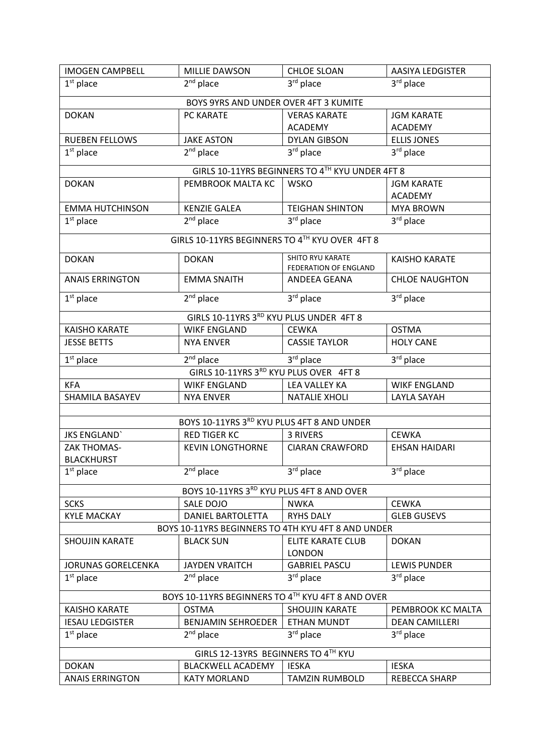| <b>IMOGEN CAMPBELL</b>                             | <b>MILLIE DAWSON</b>                           | <b>CHLOE SLOAN</b>                              | <b>AASIYA LEDGISTER</b> |  |
|----------------------------------------------------|------------------------------------------------|-------------------------------------------------|-------------------------|--|
| $1st$ place                                        | $2nd$ place                                    | 3rd place                                       | 3rd place               |  |
| BOYS 9YRS AND UNDER OVER 4FT 3 KUMITE              |                                                |                                                 |                         |  |
| <b>DOKAN</b>                                       | PC KARATE                                      | <b>VERAS KARATE</b>                             | <b>JGM KARATE</b>       |  |
|                                                    |                                                | <b>ACADEMY</b>                                  | <b>ACADEMY</b>          |  |
| <b>RUEBEN FELLOWS</b>                              | <b>JAKE ASTON</b>                              | <b>DYLAN GIBSON</b>                             | <b>ELLIS JONES</b>      |  |
| $1st$ place                                        | 2 <sup>nd</sup> place                          | 3rd place                                       | 3rd place               |  |
|                                                    |                                                | GIRLS 10-11YRS BEGINNERS TO 4TH KYU UNDER 4FT 8 |                         |  |
| <b>DOKAN</b>                                       | PEMBROOK MALTA KC                              | <b>WSKO</b>                                     | <b>JGM KARATE</b>       |  |
|                                                    |                                                |                                                 | <b>ACADEMY</b>          |  |
| <b>EMMA HUTCHINSON</b>                             | <b>KENZIE GALEA</b>                            | <b>TEIGHAN SHINTON</b>                          | <b>MYA BROWN</b>        |  |
| $1st$ place                                        | $2nd$ place                                    | 3rd place                                       | 3rd place               |  |
|                                                    | GIRLS 10-11YRS BEGINNERS TO 4TH KYU OVER 4FT 8 |                                                 |                         |  |
|                                                    |                                                |                                                 |                         |  |
| <b>DOKAN</b>                                       | <b>DOKAN</b>                                   | SHITO RYU KARATE<br>FEDERATION OF ENGLAND       | <b>KAISHO KARATE</b>    |  |
| <b>ANAIS ERRINGTON</b>                             | <b>EMMA SNAITH</b>                             | ANDEEA GEANA                                    | <b>CHLOE NAUGHTON</b>   |  |
| $1st$ place                                        | $2nd$ place                                    | 3rd place                                       | 3rd place               |  |
|                                                    | GIRLS 10-11YRS 3RD KYU PLUS UNDER 4FT 8        |                                                 |                         |  |
| <b>KAISHO KARATE</b>                               | <b>WIKF ENGLAND</b>                            | <b>CEWKA</b>                                    | <b>OSTMA</b>            |  |
| <b>JESSE BETTS</b>                                 | <b>NYA ENVER</b>                               | <b>CASSIE TAYLOR</b>                            | <b>HOLY CANE</b>        |  |
| $1st$ place                                        | $2nd$ place                                    | 3rd place                                       | 3rd place               |  |
|                                                    | GIRLS 10-11YRS 3RD KYU PLUS OVER 4FT 8         |                                                 |                         |  |
| <b>KFA</b>                                         | <b>WIKF ENGLAND</b>                            | LEA VALLEY KA                                   | <b>WIKF ENGLAND</b>     |  |
| <b>SHAMILA BASAYEV</b>                             | <b>NYA ENVER</b>                               | <b>NATALIE XHOLI</b>                            | LAYLA SAYAH             |  |
|                                                    | BOYS 10-11YRS 3RD KYU PLUS 4FT 8 AND UNDER     |                                                 |                         |  |
|                                                    |                                                |                                                 |                         |  |
| <b>JKS ENGLAND</b>                                 | <b>RED TIGER KC</b>                            | 3 RIVERS                                        | <b>CEWKA</b>            |  |
| <b>ZAK THOMAS-</b><br><b>BLACKHURST</b>            | <b>KEVIN LONGTHORNE</b>                        | <b>CIARAN CRAWFORD</b>                          | <b>EHSAN HAIDARI</b>    |  |
| $1st$ place                                        | $2nd$ place                                    | 3rd place                                       | 3rd place               |  |
|                                                    |                                                |                                                 |                         |  |
|                                                    | BOYS 10-11YRS 3RD KYU PLUS 4FT 8 AND OVER      |                                                 |                         |  |
| <b>SCKS</b>                                        | SALE DOJO                                      | <b>NWKA</b>                                     | <b>CEWKA</b>            |  |
| <b>KYLE MACKAY</b>                                 | <b>DANIEL BARTOLETTA</b>                       | <b>RYHS DALY</b>                                | <b>GLEB GUSEVS</b>      |  |
| BOYS 10-11YRS BEGINNERS TO 4TH KYU 4FT 8 AND UNDER |                                                |                                                 |                         |  |
| <b>SHOUJIN KARATE</b>                              | <b>BLACK SUN</b>                               | <b>ELITE KARATE CLUB</b><br><b>LONDON</b>       | <b>DOKAN</b>            |  |
| <b>JORUNAS GORELCENKA</b>                          | <b>JAYDEN VRAITCH</b>                          | <b>GABRIEL PASCU</b>                            | <b>LEWIS PUNDER</b>     |  |
| $1st$ place                                        | $2nd$ place                                    | 3rd place                                       | $3rd$ place             |  |
| BOYS 10-11YRS BEGINNERS TO 4TH KYU 4FT 8 AND OVER  |                                                |                                                 |                         |  |
| <b>KAISHO KARATE</b>                               | <b>OSTMA</b>                                   | <b>SHOUJIN KARATE</b>                           | PEMBROOK KC MALTA       |  |
| <b>IESAU LEDGISTER</b>                             | <b>BENJAMIN SEHROEDER</b>                      | ETHAN MUNDT                                     | <b>DEAN CAMILLERI</b>   |  |
| $1st$ place                                        | $2nd$ place                                    | 3rd place                                       | 3rd place               |  |
| GIRLS 12-13YRS BEGINNERS TO 4TH KYU                |                                                |                                                 |                         |  |
| <b>DOKAN</b>                                       | <b>BLACKWELL ACADEMY</b>                       | <b>IESKA</b>                                    | <b>IESKA</b>            |  |
| <b>ANAIS ERRINGTON</b>                             | <b>KATY MORLAND</b>                            | <b>TAMZIN RUMBOLD</b>                           | REBECCA SHARP           |  |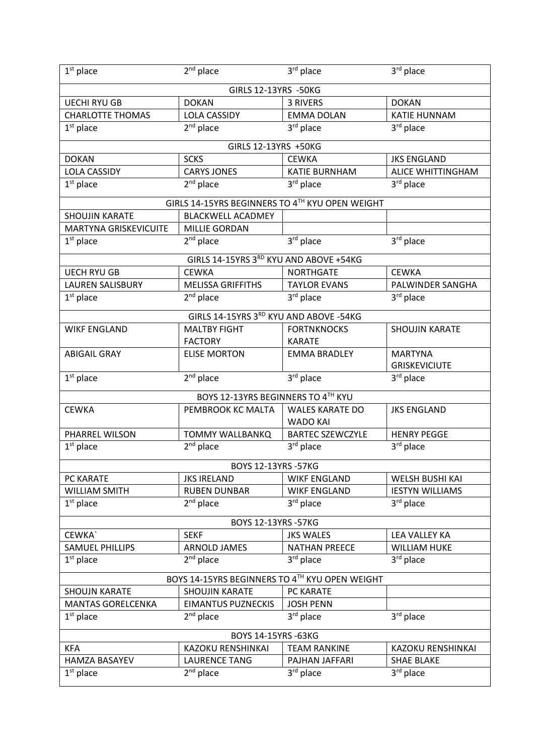| $1st$ place              | $\overline{2}^{nd}$ place                       | 3rd place                                 | 3rd place              |
|--------------------------|-------------------------------------------------|-------------------------------------------|------------------------|
|                          | GIRLS 12-13YRS -50KG                            |                                           |                        |
| <b>UECHI RYU GB</b>      | <b>DOKAN</b>                                    | 3 RIVERS                                  | <b>DOKAN</b>           |
| <b>CHARLOTTE THOMAS</b>  | <b>LOLA CASSIDY</b>                             | <b>EMMA DOLAN</b>                         | <b>KATIE HUNNAM</b>    |
| $1st$ place              | 2 <sup>nd</sup> place                           | 3rd place                                 | 3rd place              |
|                          | GIRLS 12-13YRS +50KG                            |                                           |                        |
| <b>DOKAN</b>             | <b>SCKS</b>                                     | <b>CEWKA</b>                              | <b>JKS ENGLAND</b>     |
| <b>LOLA CASSIDY</b>      | <b>CARYS JONES</b>                              | KATIE BURNHAM                             | ALICE WHITTINGHAM      |
| $1st$ place              | $2nd$ place                                     | 3rd place                                 | 3rd place              |
|                          | GIRLS 14-15YRS BEGINNERS TO 4TH KYU OPEN WEIGHT |                                           |                        |
| <b>SHOUJIN KARATE</b>    | <b>BLACKWELL ACADMEY</b>                        |                                           |                        |
| MARTYNA GRISKEVICUITE    | <b>MILLIE GORDAN</b>                            |                                           |                        |
| $1st$ place              | $2nd$ place                                     | 3rd place                                 | 3rd place              |
|                          | GIRLS 14-15YRS 3RD KYU AND ABOVE +54KG          |                                           |                        |
| <b>UECH RYU GB</b>       | <b>CEWKA</b>                                    | <b>NORTHGATE</b>                          | <b>CEWKA</b>           |
| <b>LAUREN SALISBURY</b>  | <b>MELISSA GRIFFITHS</b>                        | <b>TAYLOR EVANS</b>                       | PALWINDER SANGHA       |
| $1st$ place              | $2nd$ place                                     | 3rd place                                 | 3rd place              |
|                          | GIRLS 14-15YRS 3RD KYU AND ABOVE -54KG          |                                           |                        |
| <b>WIKF ENGLAND</b>      | <b>MALTBY FIGHT</b>                             | <b>FORTNKNOCKS</b>                        | <b>SHOUJIN KARATE</b>  |
|                          | <b>FACTORY</b>                                  | <b>KARATE</b>                             |                        |
| <b>ABIGAIL GRAY</b>      | <b>ELISE MORTON</b>                             | <b>EMMA BRADLEY</b>                       | <b>MARTYNA</b>         |
|                          |                                                 |                                           | <b>GRISKEVICIUTE</b>   |
| $1st$ place              | 2 <sup>nd</sup> place                           | 3rd place                                 | 3rd place              |
|                          | BOYS 12-13YRS BEGINNERS TO 4TH KYU              |                                           |                        |
| <b>CEWKA</b>             | PEMBROOK KC MALTA                               | <b>WALES KARATE DO</b><br><b>WADO KAI</b> | <b>JKS ENGLAND</b>     |
| PHARREL WILSON           | <b>TOMMY WALLBANKQ</b>                          | <b>BARTEC SZEWCZYLE</b>                   | <b>HENRY PEGGE</b>     |
|                          |                                                 |                                           |                        |
|                          |                                                 |                                           |                        |
| $1st$ place              | $2nd$ place                                     | 3rd place                                 | 3rd place              |
|                          | BOYS 12-13YRS -57KG                             |                                           |                        |
| PC KARATE                | <b>JKS IRELAND</b>                              | <b>WIKF ENGLAND</b>                       | WELSH BUSHI KAI        |
| <b>WILLIAM SMITH</b>     | <b>RUBEN DUNBAR</b>                             | <b>WIKF ENGLAND</b>                       | <b>IESTYN WILLIAMS</b> |
| $1st$ place              | $2nd$ place                                     | 3 <sup>rd</sup> place                     | 3rd place              |
|                          | BOYS 12-13YRS -57KG                             |                                           |                        |
| CEWKA`                   | <b>SEKF</b>                                     | <b>JKS WALES</b>                          | LEA VALLEY KA          |
| <b>SAMUEL PHILLIPS</b>   | <b>ARNOLD JAMES</b>                             | <b>NATHAN PREECE</b>                      | <b>WILLIAM HUKE</b>    |
| $1st$ place              | $2nd$ place                                     | 3 <sup>rd</sup> place                     | 3rd place              |
|                          | BOYS 14-15YRS BEGINNERS TO 4TH KYU OPEN WEIGHT  |                                           |                        |
| <b>SHOUJN KARATE</b>     | <b>SHOUJIN KARATE</b>                           | PC KARATE                                 |                        |
| <b>MANTAS GORELCENKA</b> | <b>EIMANTUS PUZNECKIS</b>                       | <b>JOSH PENN</b>                          |                        |
| $1st$ place              | $2nd$ place                                     | 3rd place                                 | 3rd place              |
|                          | BOYS 14-15YRS -63KG                             |                                           |                        |
| <b>KFA</b>               | KAZOKU RENSHINKAI                               | <b>TEAM RANKINE</b>                       | KAZOKU RENSHINKAI      |
| <b>HAMZA BASAYEV</b>     | <b>LAURENCE TANG</b>                            | PAJHAN JAFFARI                            | <b>SHAE BLAKE</b>      |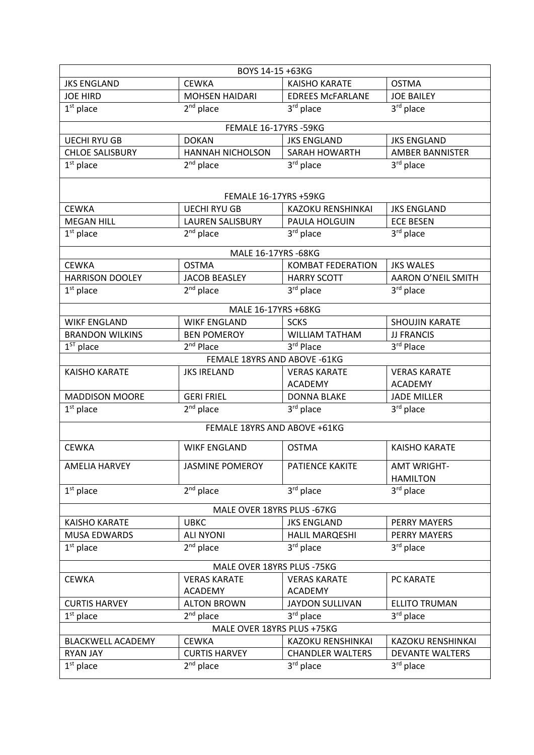| BOYS 14-15 +63KG            |                              |                          |                           |  |
|-----------------------------|------------------------------|--------------------------|---------------------------|--|
| <b>JKS ENGLAND</b>          | <b>CEWKA</b>                 | <b>KAISHO KARATE</b>     | <b>OSTMA</b>              |  |
| <b>JOE HIRD</b>             | <b>MOHSEN HAIDARI</b>        | <b>EDREES MCFARLANE</b>  | <b>JOE BAILEY</b>         |  |
| $1st$ place                 | $2nd$ place                  | 3rd place                | 3rd place                 |  |
|                             | FEMALE 16-17YRS -59KG        |                          |                           |  |
| <b>UECHI RYU GB</b>         | <b>DOKAN</b>                 | <b>JKS ENGLAND</b>       | <b>JKS ENGLAND</b>        |  |
| <b>CHLOE SALISBURY</b>      | <b>HANNAH NICHOLSON</b>      | SARAH HOWARTH            | <b>AMBER BANNISTER</b>    |  |
| $1st$ place                 | $2nd$ place                  | $3rd$ place              | $3rd$ place               |  |
|                             |                              |                          |                           |  |
|                             | FEMALE 16-17YRS +59KG        |                          |                           |  |
| <b>CEWKA</b>                | <b>UECHI RYU GB</b>          | KAZOKU RENSHINKAI        | <b>JKS ENGLAND</b>        |  |
| <b>MEGAN HILL</b>           | LAUREN SALISBURY             | PAULA HOLGUIN            | <b>ECE BESEN</b>          |  |
| $1st$ place                 | $2nd$ place                  | 3rd place                | 3rd place                 |  |
|                             | MALE 16-17YRS -68KG          |                          |                           |  |
| <b>CEWKA</b>                | <b>OSTMA</b>                 | <b>KOMBAT FEDERATION</b> | <b>JKS WALES</b>          |  |
| <b>HARRISON DOOLEY</b>      | <b>JACOB BEASLEY</b>         | <b>HARRY SCOTT</b>       | <b>AARON O'NEIL SMITH</b> |  |
| $1st$ place                 | 2 <sup>nd</sup> place        | 3rd place                | 3rd place                 |  |
|                             | MALE 16-17YRS +68KG          |                          |                           |  |
| <b>WIKF ENGLAND</b>         | <b>WIKF ENGLAND</b>          | <b>SCKS</b>              | <b>SHOUJIN KARATE</b>     |  |
| <b>BRANDON WILKINS</b>      | <b>BEN POMEROY</b>           | <b>WILLIAM TATHAM</b>    | <b>JJ FRANCIS</b>         |  |
| $1ST$ place                 | 2 <sup>nd</sup> Place        | 3rd Place                | 3rd Place                 |  |
|                             | FEMALE 18YRS AND ABOVE -61KG |                          |                           |  |
| <b>KAISHO KARATE</b>        | <b>JKS IRELAND</b>           | <b>VERAS KARATE</b>      | <b>VERAS KARATE</b>       |  |
|                             |                              | <b>ACADEMY</b>           | <b>ACADEMY</b>            |  |
| <b>MADDISON MOORE</b>       | <b>GERI FRIEL</b>            | <b>DONNA BLAKE</b>       | <b>JADE MILLER</b>        |  |
| $1st$ place                 | 2 <sup>nd</sup> place        | 3rd place                | 3rd place                 |  |
|                             | FEMALE 18YRS AND ABOVE +61KG |                          |                           |  |
| <b>CEWKA</b>                | <b>WIKF ENGLAND</b>          | <b>OSTMA</b>             | <b>KAISHO KARATE</b>      |  |
| <b>AMELIA HARVEY</b>        | <b>JASMINE POMEROY</b>       | PATIENCE KAKITE          | <b>AMT WRIGHT-</b>        |  |
|                             |                              |                          | <b>HAMILTON</b>           |  |
| $1st$ place                 | $2nd$ place                  | 3rd place                | 3rd place                 |  |
| MALE OVER 18YRS PLUS - 67KG |                              |                          |                           |  |
| <b>KAISHO KARATE</b>        | <b>UBKC</b>                  | <b>JKS ENGLAND</b>       | PERRY MAYERS              |  |
| <b>MUSA EDWARDS</b>         | <b>ALI NYONI</b>             | HALIL MARQESHI           | PERRY MAYERS              |  |
| $1st$ place                 | $2nd$ place                  | 3rd place                | 3rd place                 |  |
| MALE OVER 18YRS PLUS -75KG  |                              |                          |                           |  |
| <b>CEWKA</b>                | <b>VERAS KARATE</b>          | <b>VERAS KARATE</b>      | PC KARATE                 |  |
|                             | <b>ACADEMY</b>               | <b>ACADEMY</b>           |                           |  |
| <b>CURTIS HARVEY</b>        | <b>ALTON BROWN</b>           | <b>JAYDON SULLIVAN</b>   | <b>ELLITO TRUMAN</b>      |  |
| $1st$ place                 | $2nd$ place                  | 3rd place                | 3rd place                 |  |
| MALE OVER 18YRS PLUS +75KG  |                              |                          |                           |  |
| <b>BLACKWELL ACADEMY</b>    | <b>CEWKA</b>                 | KAZOKU RENSHINKAI        | KAZOKU RENSHINKAI         |  |
| <b>RYAN JAY</b>             | <b>CURTIS HARVEY</b>         | <b>CHANDLER WALTERS</b>  | <b>DEVANTE WALTERS</b>    |  |
| $1st$ place                 | $2nd$ place                  | 3rd place                | 3rd place                 |  |